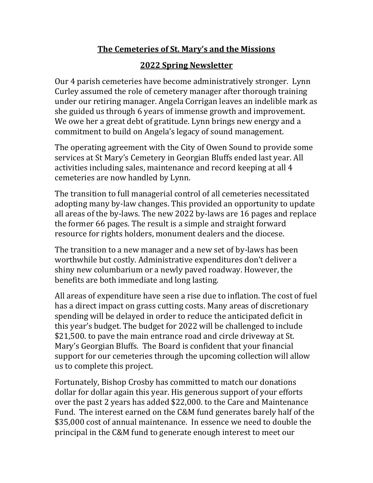## **The Cemeteries of St. Mary's and the Missions**

## **2022 Spring Newsletter**

Our 4 parish cemeteries have become administratively stronger. Lynn Curley assumed the role of cemetery manager after thorough training under our retiring manager. Angela Corrigan leaves an indelible mark as she guided us through 6 years of immense growth and improvement. We owe her a great debt of gratitude. Lynn brings new energy and a commitment to build on Angela's legacy of sound management.

The operating agreement with the City of Owen Sound to provide some services at St Mary's Cemetery in Georgian Bluffs ended last year. All activities including sales, maintenance and record keeping at all 4 cemeteries are now handled by Lynn.

The transition to full managerial control of all cemeteries necessitated adopting many by-law changes. This provided an opportunity to update all areas of the by-laws. The new 2022 by-laws are 16 pages and replace the former 66 pages. The result is a simple and straight forward resource for rights holders, monument dealers and the diocese.

The transition to a new manager and a new set of by-laws has been worthwhile but costly. Administrative expenditures don't deliver a shiny new columbarium or a newly paved roadway. However, the benefits are both immediate and long lasting.

All areas of expenditure have seen a rise due to inflation. The cost of fuel has a direct impact on grass cutting costs. Many areas of discretionary spending will be delayed in order to reduce the anticipated deficit in this year's budget. The budget for 2022 will be challenged to include \$21,500. to pave the main entrance road and circle driveway at St. Mary's Georgian Bluffs. The Board is confident that your financial support for our cemeteries through the upcoming collection will allow us to complete this project.

Fortunately, Bishop Crosby has committed to match our donations dollar for dollar again this year. His generous support of your efforts over the past 2 years has added \$22,000. to the Care and Maintenance Fund. The interest earned on the C&M fund generates barely half of the \$35,000 cost of annual maintenance. In essence we need to double the principal in the C&M fund to generate enough interest to meet our